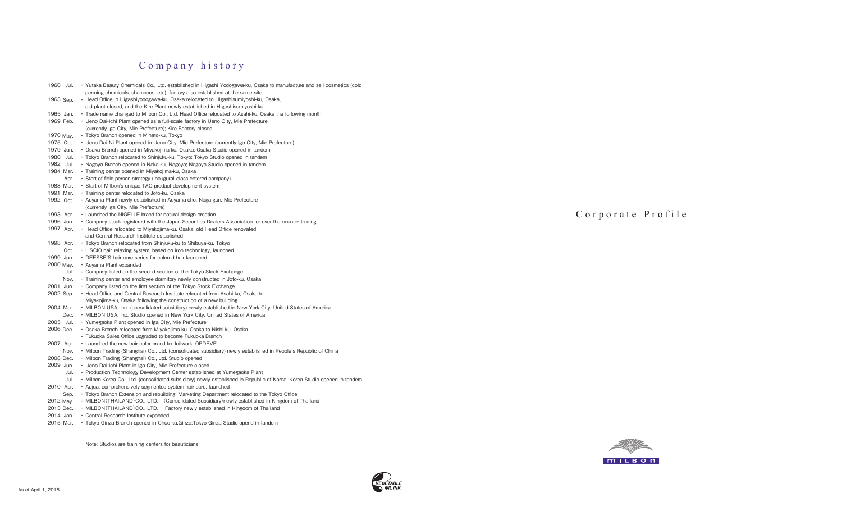# Company history

| 1960 Jul.    | · Yutaka Beauty Chemicals Co., Ltd. established in Higashi Yodogawa-ku, Osaka to manufacture and sell cosmetics (cold    |
|--------------|--------------------------------------------------------------------------------------------------------------------------|
|              | perming chemicals, shampoos, etc); factory also established at the same site                                             |
| 1963 Sep.    | • Head Office in Higashiyodogawa-ku, Osaka relocated to Higashisumiyoshi-ku, Osaka,                                      |
|              | old plant closed, and the Kire Plant newly established in Higashisumiyoshi-ku                                            |
| 1965 Jan.    | Trade name changed to Milbon Co., Ltd. Head Office relocated to Asahi-ku, Osaka the following month •                    |
| 1969 Feb.    | • Ueno Dai-Ichi Plant opened as a full-scale factory in Ueno City, Mie Prefecture                                        |
|              | (currently Iga City, Mie Prefecture); Kire Factory closed                                                                |
| 1970 May.    | • Tokyo Branch opened in Minato-ku, Tokyo                                                                                |
| 1975 Oct.    | • Ueno Dai-Ni Plant opened in Ueno City, Mie Prefecture (currently Iga City, Mie Prefecture)                             |
| 1979 Jun.    | • Osaka Branch opened in Miyakojima-ku, Osaka; Osaka Studio opened in tandem                                             |
| 1980<br>Jul. | • Tokyo Branch relocated to Shinjuku-ku, Tokyo; Tokyo Studio opened in tandem                                            |
| 1982 Jul.    | • Nagoya Branch opened in Naka-ku, Nagoya; Nagoya Studio opened in tandem                                                |
| 1984 Mar.    | · Training center opened in Miyakojima-ku, Osaka                                                                         |
| Apr.         | · Start of field person strategy (inaugural class entered company)                                                       |
| 1988 Mar.    | • Start of Milbon's unique TAC product development system                                                                |
| 1991 Mar.    | · Training center relocated to Joto-ku, Osaka                                                                            |
| 1992 Oct.    | • Aoyama Plant newly established in Aoyama-cho, Naga-gun, Mie Prefecture                                                 |
|              | (currently Iga City, Mie Prefecture)                                                                                     |
| 1993 Apr.    | . Launched the NIGELLE brand for natural design creation                                                                 |
| 1996 Jun.    | • Company stock registered with the Japan Securities Dealers Association for over-the-counter trading                    |
| 1997 Apr.    | • Head Office relocated to Miyakojima-ku, Osaka; old Head Office renovated                                               |
|              | and Central Research Institute established                                                                               |
| 1998 Apr.    | • Tokyo Branch relocated from Shinjuku-ku to Shibuya-ku, Tokyo                                                           |
| Oct.         | • LISCIO hair relaxing system, based on iron technology, launched                                                        |
| 1999 Jun.    | • DEESSE'S hair care series for colored hair launched                                                                    |
| 2000 May.    | • Aoyama Plant expanded                                                                                                  |
| Jul.         | • Company listed on the second section of the Tokyo Stock Exchange                                                       |
| Nov.         | • Training center and employee dormitory newly constructed in Joto-ku, Osaka                                             |
| 2001 Jun.    | • Company listed on the first section of the Tokyo Stock Exchange                                                        |
| 2002 Sep.    | • Head Office and Central Research Institute relocated from Asahi-ku, Osaka to                                           |
|              | Miyakojima-ku, Osaka following the construction of a new building                                                        |
| 2004 Mar.    | . MILBON USA, Inc. (consolidated subsidiary) newly established in New York City, United States of America                |
| Dec.         | • MILBON USA, Inc. Studio opened in New York City, United States of America                                              |
| 2005 Jul.    | · Yumegaoka Plant opened in Iga City, Mie Prefecture                                                                     |
| 2006 Dec.    | · Osaka Branch relocated from Miyakojima-ku, Osaka to Nishi-ku, Osaka                                                    |
|              | • Fukuoka Sales Office upgraded to become Fukuoka Branch                                                                 |
| 2007 Apr.    | . Launched the new hair color brand for foilwork, ORDEVE                                                                 |
| Nov.         | • Milbon Trading (Shanghai) Co., Ltd. (consolidated subsidiary) newly established in People's Republic of China          |
| 2008 Dec.    | · Milbon Trading (Shanghai) Co., Ltd. Studio opened                                                                      |
| 2009 Jun.    | • Ueno Dai-Ichi Plant in Iga City, Mie Prefecture closed                                                                 |
| Jul.         | · Production Technology Development Center established at Yumegaoka Plant                                                |
| Jul.         | · Milbon Korea Co., Ltd. (consolidated subsidiary) newly established in Republic of Korea; Korea Studio opened in tandem |
| 2010 Apr.    | · Aujua, comprehensively segmented system hair care, launched                                                            |
| Sep.         | • Tokyo Branch Extension and rebuilding; Marketing Department relocated to the Tokyo Office                              |
| 2012 May.    | • MILBON (THAILAND) CO., LTD. (Consolidated Subsidiary) newly established in Kingdom of Thailand                         |
| 2013 Dec.    | • MILBON (THAILAND) CO., LTD. Factory newly established in Kingdom of Thailand                                           |
| 2014 Jan.    | • Central Research Institute expanded                                                                                    |

2015 Mar. • Tokyo Ginza Branch opened in Chuo-ku,Ginza;Tokyo Ginza Studio opend in tandem

Note: Studios are training centers for beauticians





Corporate Profile